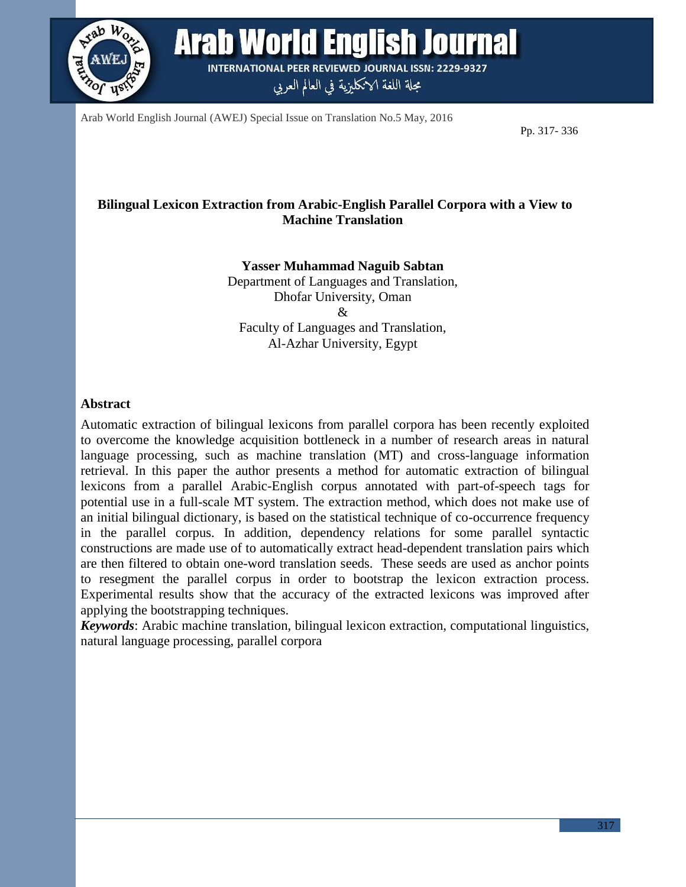

Arab World English Journal **INTERNATIONAL PEER REVIEWED JOURNAL ISSN: 2229-9327** 

مجلة اللغة الانكليزية في العالم العربي

Arab World English Journal (AWEJ) Special Issue on Translation No.5 May, 2016

Pp. 317- 336

## **Bilingual Lexicon Extraction from Arabic-English Parallel Corpora with a View to Machine Translation**

**Yasser Muhammad Naguib Sabtan** Department of Languages and Translation, Dhofar University, Oman & Faculty of Languages and Translation, Al-Azhar University, Egypt

#### **Abstract**

Automatic extraction of bilingual lexicons from parallel corpora has been recently exploited to overcome the knowledge acquisition bottleneck in a number of research areas in natural language processing, such as machine translation (MT) and cross-language information retrieval. In this paper the author presents a method for automatic extraction of bilingual lexicons from a parallel Arabic-English corpus annotated with part-of-speech tags for potential use in a full-scale MT system. The extraction method, which does not make use of an initial bilingual dictionary, is based on the statistical technique of co-occurrence frequency in the parallel corpus. In addition, dependency relations for some parallel syntactic constructions are made use of to automatically extract head-dependent translation pairs which are then filtered to obtain one-word translation seeds. These seeds are used as anchor points to resegment the parallel corpus in order to bootstrap the lexicon extraction process. Experimental results show that the accuracy of the extracted lexicons was improved after applying the bootstrapping techniques.

*Keywords*: Arabic machine translation, bilingual lexicon extraction, computational linguistics, natural language processing, parallel corpora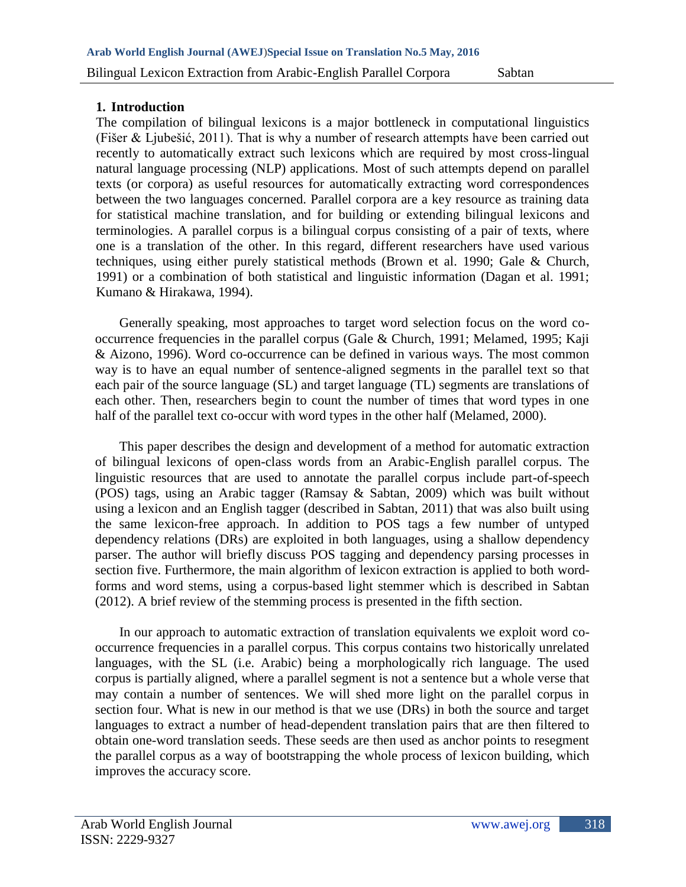## **1. Introduction**

The compilation of bilingual lexicons is a major bottleneck in computational linguistics (Fišer & Ljubešić, 2011). That is why a number of research attempts have been carried out recently to automatically extract such lexicons which are required by most cross-lingual natural language processing (NLP) applications. Most of such attempts depend on parallel texts (or corpora) as useful resources for automatically extracting word correspondences between the two languages concerned. Parallel corpora are a key resource as training data for statistical machine translation, and for building or extending bilingual lexicons and terminologies. A parallel corpus is a bilingual corpus consisting of a pair of texts, where one is a translation of the other. In this regard, different researchers have used various techniques, using either purely statistical methods (Brown et al. 1990; Gale & Church, 1991) or a combination of both statistical and linguistic information (Dagan et al. 1991; Kumano & Hirakawa, 1994).

Generally speaking, most approaches to target word selection focus on the word cooccurrence frequencies in the parallel corpus (Gale & Church, 1991; Melamed, 1995; Kaji & Aizono, 1996). Word co-occurrence can be defined in various ways. The most common way is to have an equal number of sentence-aligned segments in the parallel text so that each pair of the source language (SL) and target language (TL) segments are translations of each other. Then, researchers begin to count the number of times that word types in one half of the parallel text co-occur with word types in the other half (Melamed, 2000).

This paper describes the design and development of a method for automatic extraction of bilingual lexicons of open-class words from an Arabic-English parallel corpus. The linguistic resources that are used to annotate the parallel corpus include part-of-speech (POS) tags, using an Arabic tagger (Ramsay & Sabtan, 2009) which was built without using a lexicon and an English tagger (described in Sabtan, 2011) that was also built using the same lexicon-free approach. In addition to POS tags a few number of untyped dependency relations (DRs) are exploited in both languages, using a shallow dependency parser. The author will briefly discuss POS tagging and dependency parsing processes in section five. Furthermore, the main algorithm of lexicon extraction is applied to both wordforms and word stems, using a corpus-based light stemmer which is described in Sabtan (2012). A brief review of the stemming process is presented in the fifth section.

In our approach to automatic extraction of translation equivalents we exploit word cooccurrence frequencies in a parallel corpus. This corpus contains two historically unrelated languages, with the SL (i.e. Arabic) being a morphologically rich language. The used corpus is partially aligned, where a parallel segment is not a sentence but a whole verse that may contain a number of sentences. We will shed more light on the parallel corpus in section four. What is new in our method is that we use (DRs) in both the source and target languages to extract a number of head-dependent translation pairs that are then filtered to obtain one-word translation seeds. These seeds are then used as anchor points to resegment the parallel corpus as a way of bootstrapping the whole process of lexicon building, which improves the accuracy score.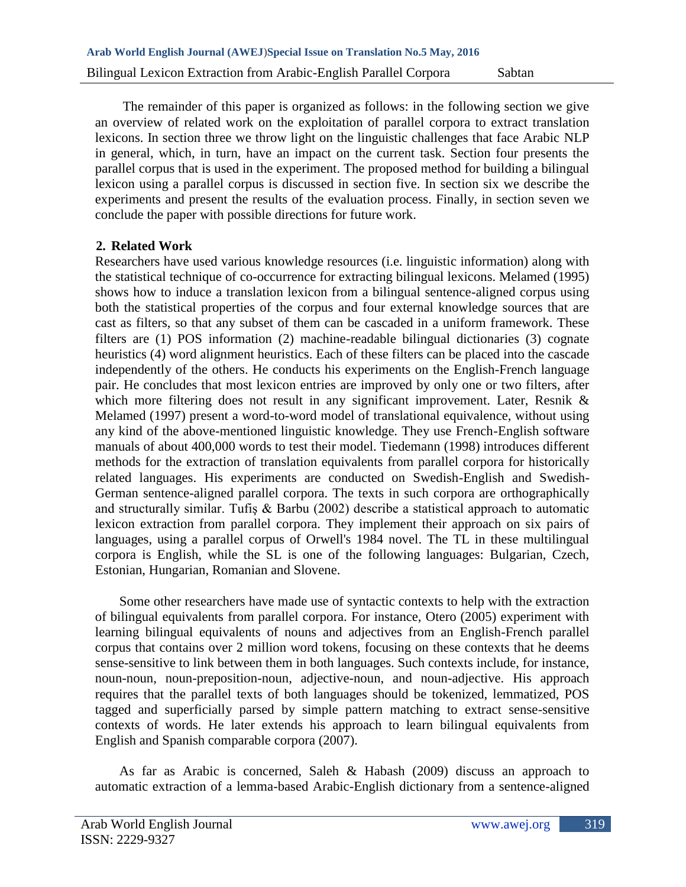The remainder of this paper is organized as follows: in the following section we give an overview of related work on the exploitation of parallel corpora to extract translation lexicons. In section three we throw light on the linguistic challenges that face Arabic NLP in general, which, in turn, have an impact on the current task. Section four presents the parallel corpus that is used in the experiment. The proposed method for building a bilingual lexicon using a parallel corpus is discussed in section five. In section six we describe the experiments and present the results of the evaluation process. Finally, in section seven we conclude the paper with possible directions for future work.

## **2. Related Work**

Researchers have used various knowledge resources (i.e. linguistic information) along with the statistical technique of co-occurrence for extracting bilingual lexicons. Melamed (1995) shows how to induce a translation lexicon from a bilingual sentence-aligned corpus using both the statistical properties of the corpus and four external knowledge sources that are cast as filters, so that any subset of them can be cascaded in a uniform framework. These filters are (1) POS information (2) machine-readable bilingual dictionaries (3) cognate heuristics (4) word alignment heuristics. Each of these filters can be placed into the cascade independently of the others. He conducts his experiments on the English-French language pair. He concludes that most lexicon entries are improved by only one or two filters, after which more filtering does not result in any significant improvement. Later, Resnik & Melamed (1997) present a word-to-word model of translational equivalence, without using any kind of the above-mentioned linguistic knowledge. They use French-English software manuals of about 400,000 words to test their model. Tiedemann (1998) introduces different methods for the extraction of translation equivalents from parallel corpora for historically related languages. His experiments are conducted on Swedish-English and Swedish-German sentence-aligned parallel corpora. The texts in such corpora are orthographically and structurally similar. Tufiş & Barbu (2002) describe a statistical approach to automatic lexicon extraction from parallel corpora. They implement their approach on six pairs of languages, using a parallel corpus of Orwell's 1984 novel. The TL in these multilingual corpora is English, while the SL is one of the following languages: Bulgarian, Czech, Estonian, Hungarian, Romanian and Slovene.

Some other researchers have made use of syntactic contexts to help with the extraction of bilingual equivalents from parallel corpora. For instance, Otero (2005) experiment with learning bilingual equivalents of nouns and adjectives from an English-French parallel corpus that contains over 2 million word tokens, focusing on these contexts that he deems sense-sensitive to link between them in both languages. Such contexts include, for instance, noun-noun, noun-preposition-noun, adjective-noun, and noun-adjective. His approach requires that the parallel texts of both languages should be tokenized, lemmatized, POS tagged and superficially parsed by simple pattern matching to extract sense-sensitive contexts of words. He later extends his approach to learn bilingual equivalents from English and Spanish comparable corpora (2007).

As far as Arabic is concerned, Saleh  $\&$  Habash (2009) discuss an approach to automatic extraction of a lemma-based Arabic-English dictionary from a sentence-aligned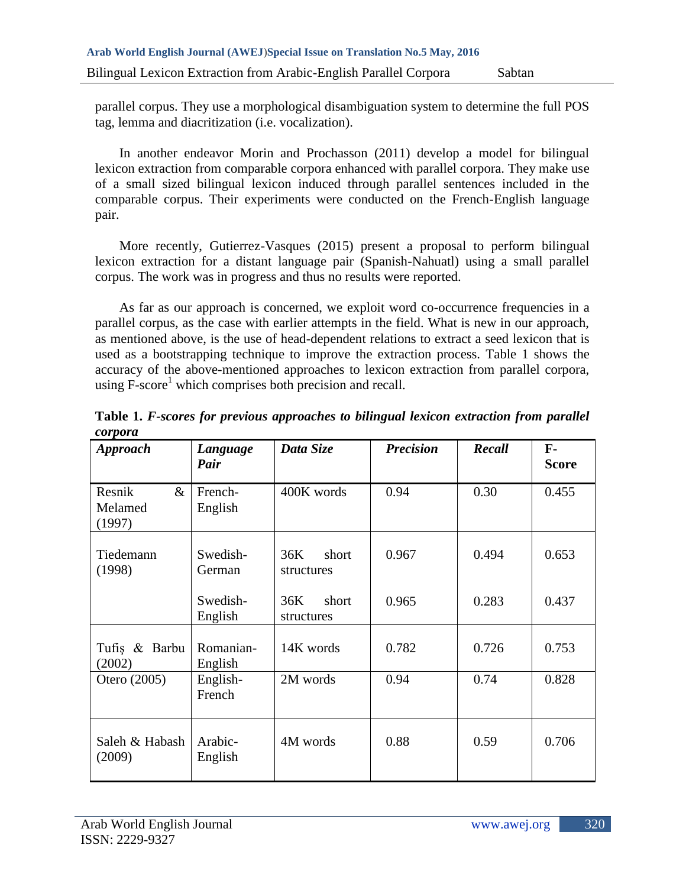parallel corpus. They use a morphological disambiguation system to determine the full POS tag, lemma and diacritization (i.e. vocalization).

In another endeavor Morin and Prochasson (2011) develop a model for bilingual lexicon extraction from comparable corpora enhanced with parallel corpora. They make use of a small sized bilingual lexicon induced through parallel sentences included in the comparable corpus. Their experiments were conducted on the French-English language pair.

More recently, Gutierrez-Vasques (2015) present a proposal to perform bilingual lexicon extraction for a distant language pair (Spanish-Nahuatl) using a small parallel corpus. The work was in progress and thus no results were reported.

As far as our approach is concerned, we exploit word co-occurrence frequencies in a parallel corpus, as the case with earlier attempts in the field. What is new in our approach, as mentioned above, is the use of head-dependent relations to extract a seed lexicon that is used as a bootstrapping technique to improve the extraction process. Table 1 shows the accuracy of the above-mentioned approaches to lexicon extraction from parallel corpora, using F-score<sup>1</sup> which comprises both precision and recall.

| <b>Approach</b>                     | Language<br>Pair     | Data Size                  | <b>Precision</b> | Recall | ${\bf F}$ -<br><b>Score</b> |
|-------------------------------------|----------------------|----------------------------|------------------|--------|-----------------------------|
| Resnik<br>$\&$<br>Melamed<br>(1997) | French-<br>English   | 400K words                 | 0.94             | 0.30   | 0.455                       |
| Tiedemann<br>(1998)                 | Swedish-<br>German   | short<br>36K<br>structures | 0.967            | 0.494  | 0.653                       |
|                                     | Swedish-<br>English  | 36K<br>short<br>structures | 0.965            | 0.283  | 0.437                       |
| Tufiş & Barbu<br>(2002)             | Romanian-<br>English | 14K words                  | 0.782            | 0.726  | 0.753                       |
| Otero (2005)                        | English-<br>French   | 2M words                   | 0.94             | 0.74   | 0.828                       |
| Saleh & Habash<br>(2009)            | Arabic-<br>English   | 4M words                   | 0.88             | 0.59   | 0.706                       |

**Table 1.** *F-scores for previous approaches to bilingual lexicon extraction from parallel corpora*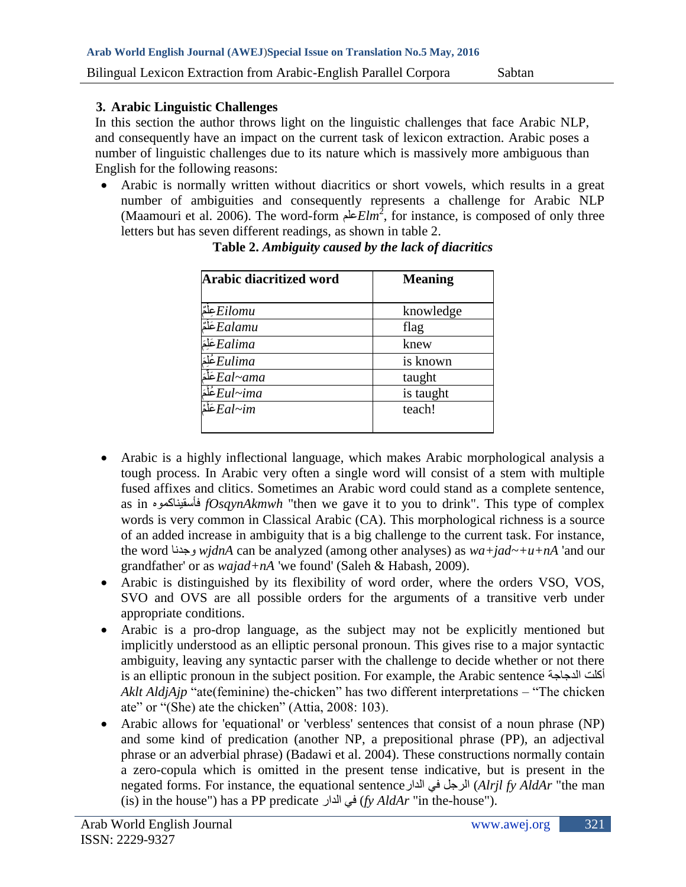### **3. Arabic Linguistic Challenges**

In this section the author throws light on the linguistic challenges that face Arabic NLP, and consequently have an impact on the current task of lexicon extraction. Arabic poses a number of linguistic challenges due to its nature which is massively more ambiguous than English for the following reasons:

 Arabic is normally written without diacritics or short vowels, which results in a great number of ambiguities and consequently represents a challenge for Arabic NLP (Maamouri et al. 2006). The word-form علم*Elm*<sup>2</sup> , for instance, is composed of only three letters but has seven different readings, as shown in table 2.

| Arabic diacritized word        | <b>Meaning</b> |  |
|--------------------------------|----------------|--|
| Eilomu عِلْمٌ                  | knowledge      |  |
| Ealamuشَلْة                    | flag           |  |
| Ealima عَلِمَ                  | knew           |  |
| Eulima غُلِمَ                  | is known       |  |
| Eal~ama عَلَّمَ                | taught         |  |
| غَلَمَ $\overline{Eul}$ غَلَمَ | is taught      |  |
| عَلْمْ $E$ عَلْمْ $E$          | teach!         |  |

**Table 2.** *Ambiguity caused by the lack of diacritics*

- Arabic is a highly inflectional language, which makes Arabic morphological analysis a tough process. In Arabic very often a single word will consist of a stem with multiple fused affixes and clitics. Sometimes an Arabic word could stand as a complete sentence, as in فأسقيناكموه *fOsqynAkmwh* "then we gave it to you to drink". This type of complex words is very common in Classical Arabic (CA). This morphological richness is a source of an added increase in ambiguity that is a big challenge to the current task. For instance, the word وجدنا *wjdnA* can be analyzed (among other analyses) as *wa+jad~+u+nA* 'and our grandfather' or as *wajad+nA* 'we found' (Saleh & Habash, 2009).
- Arabic is distinguished by its flexibility of word order, where the orders VSO, VOS, SVO and OVS are all possible orders for the arguments of a transitive verb under appropriate conditions.
- Arabic is a pro-drop language, as the subject may not be explicitly mentioned but implicitly understood as an elliptic personal pronoun. This gives rise to a major syntactic ambiguity, leaving any syntactic parser with the challenge to decide whether or not there is an elliptic pronoun in the subject position. For example, the Arabic sentence أكلت الدجاجة *Aklt AldjAjp* "ate(feminine) the-chicken" has two different interpretations – "The chicken ate" or "(She) ate the chicken" (Attia, 2008: 103).
- Arabic allows for 'equational' or 'verbless' sentences that consist of a noun phrase (NP) and some kind of predication (another NP, a prepositional phrase (PP), an adjectival phrase or an adverbial phrase) (Badawi et al. 2004). These constructions normally contain a zero-copula which is omitted in the present tense indicative, but is present in the negated forms. For instance, the equational sentenceالدارٌفيٌالرجل) *Alrjl fy AldAr* "the man (is) in the house") has a PP predicate الدارٌفي) *fy AldAr* "in the-house").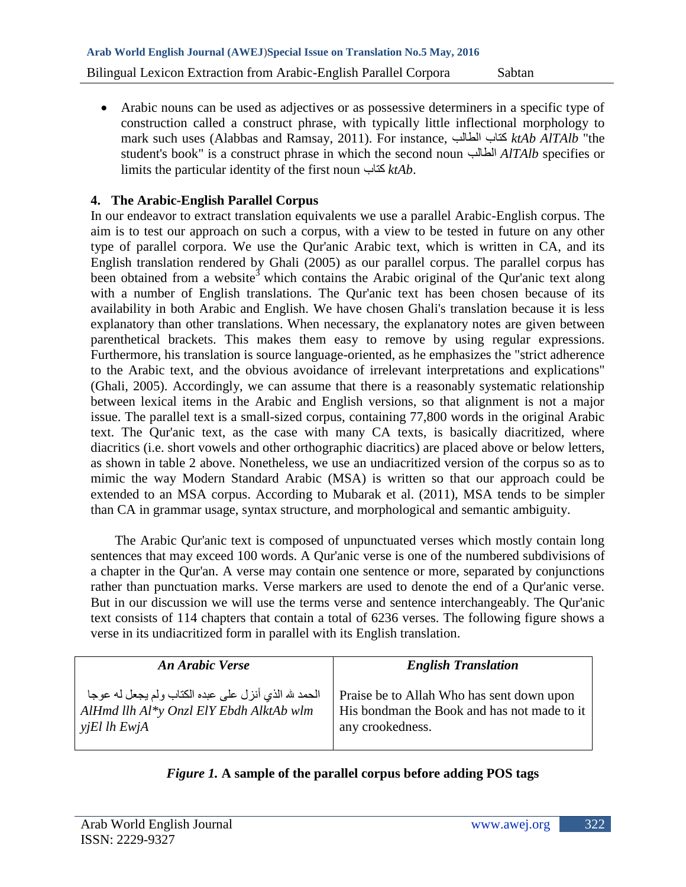Arabic nouns can be used as adjectives or as possessive determiners in a specific type of construction called a construct phrase, with typically little inflectional morphology to mark such uses (Alabbas and Ramsay, 2011). For instance, الطالبٌكتاب *ktAb AlTAlb* "the student's book" is a construct phrase in which the second noun الطالب *AlTAlb* specifies or limits the particular identity of the first nounٌكتاب *ktAb*.

# **4. The Arabic-English Parallel Corpus**

In our endeavor to extract translation equivalents we use a parallel Arabic-English corpus. The aim is to test our approach on such a corpus, with a view to be tested in future on any other type of parallel corpora. We use the Qur'anic Arabic text, which is written in CA, and its English translation rendered by Ghali (2005) as our parallel corpus. The parallel corpus has been obtained from a website<sup>3</sup> which contains the Arabic original of the Qur'anic text along with a number of English translations. The Qur'anic text has been chosen because of its availability in both Arabic and English. We have chosen Ghali's translation because it is less explanatory than other translations. When necessary, the explanatory notes are given between parenthetical brackets. This makes them easy to remove by using regular expressions. Furthermore, his translation is source language-oriented, as he emphasizes the "strict adherence to the Arabic text, and the obvious avoidance of irrelevant interpretations and explications" (Ghali, 2005). Accordingly, we can assume that there is a reasonably systematic relationship between lexical items in the Arabic and English versions, so that alignment is not a major issue. The parallel text is a small-sized corpus, containing 77,800 words in the original Arabic text. The Qur'anic text, as the case with many CA texts, is basically diacritized, where diacritics (i.e. short vowels and other orthographic diacritics) are placed above or below letters, as shown in table 2 above. Nonetheless, we use an undiacritized version of the corpus so as to mimic the way Modern Standard Arabic (MSA) is written so that our approach could be extended to an MSA corpus. According to Mubarak et al. (2011), MSA tends to be simpler than CA in grammar usage, syntax structure, and morphological and semantic ambiguity.

The Arabic Qur'anic text is composed of unpunctuated verses which mostly contain long sentences that may exceed 100 words. A Qur'anic verse is one of the numbered subdivisions of a chapter in the Qur'an. A verse may contain one sentence or more, separated by conjunctions rather than punctuation marks. Verse markers are used to denote the end of a Qur'anic verse. But in our discussion we will use the terms verse and sentence interchangeably. The Qur'anic text consists of 114 chapters that contain a total of 6236 verses. The following figure shows a verse in its undiacritized form in parallel with its English translation.

| <b>An Arabic Verse</b>                               | <b>English Translation</b>                  |
|------------------------------------------------------|---------------------------------------------|
| الحمد لله الذي أنزل على عبده الكتاب ولم يجعل له عوجا | Praise be to Allah Who has sent down upon   |
| AlHmd llh Al*y Onzl ElY Ebdh AlktAb wlm              | His bondman the Book and has not made to it |
| $yjEl$ lh EwjA                                       | any crookedness.                            |

# *Figure 1.* **A sample of the parallel corpus before adding POS tags**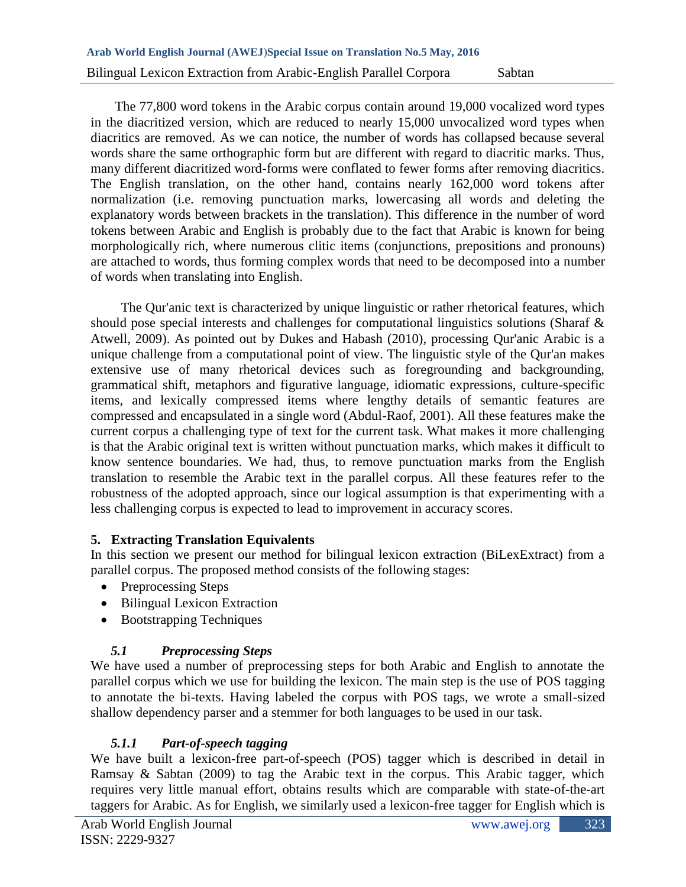The 77,800 word tokens in the Arabic corpus contain around 19,000 vocalized word types in the diacritized version, which are reduced to nearly 15,000 unvocalized word types when diacritics are removed. As we can notice, the number of words has collapsed because several words share the same orthographic form but are different with regard to diacritic marks. Thus, many different diacritized word-forms were conflated to fewer forms after removing diacritics. The English translation, on the other hand, contains nearly 162,000 word tokens after normalization (i.e. removing punctuation marks, lowercasing all words and deleting the explanatory words between brackets in the translation). This difference in the number of word tokens between Arabic and English is probably due to the fact that Arabic is known for being morphologically rich, where numerous clitic items (conjunctions, prepositions and pronouns) are attached to words, thus forming complex words that need to be decomposed into a number of words when translating into English.

The Qur'anic text is characterized by unique linguistic or rather rhetorical features, which should pose special interests and challenges for computational linguistics solutions (Sharaf & Atwell, 2009). As pointed out by Dukes and Habash (2010), processing Qur'anic Arabic is a unique challenge from a computational point of view. The linguistic style of the Qur'an makes extensive use of many rhetorical devices such as foregrounding and backgrounding, grammatical shift, metaphors and figurative language, idiomatic expressions, culture-specific items, and lexically compressed items where lengthy details of semantic features are compressed and encapsulated in a single word (Abdul-Raof, 2001). All these features make the current corpus a challenging type of text for the current task. What makes it more challenging is that the Arabic original text is written without punctuation marks, which makes it difficult to know sentence boundaries. We had, thus, to remove punctuation marks from the English translation to resemble the Arabic text in the parallel corpus. All these features refer to the robustness of the adopted approach, since our logical assumption is that experimenting with a less challenging corpus is expected to lead to improvement in accuracy scores.

## **5. Extracting Translation Equivalents**

In this section we present our method for bilingual lexicon extraction (BiLexExtract) from a parallel corpus. The proposed method consists of the following stages:

- Preprocessing Steps
- Bilingual Lexicon Extraction
- Bootstrapping Techniques

# *5.1 Preprocessing Steps*

We have used a number of preprocessing steps for both Arabic and English to annotate the parallel corpus which we use for building the lexicon. The main step is the use of POS tagging to annotate the bi-texts. Having labeled the corpus with POS tags, we wrote a small-sized shallow dependency parser and a stemmer for both languages to be used in our task.

# *5.1.1 Part-of-speech tagging*

We have built a lexicon-free part-of-speech (POS) tagger which is described in detail in Ramsay & Sabtan (2009) to tag the Arabic text in the corpus. This Arabic tagger, which requires very little manual effort, obtains results which are comparable with state-of-the-art taggers for Arabic. As for English, we similarly used a lexicon-free tagger for English which is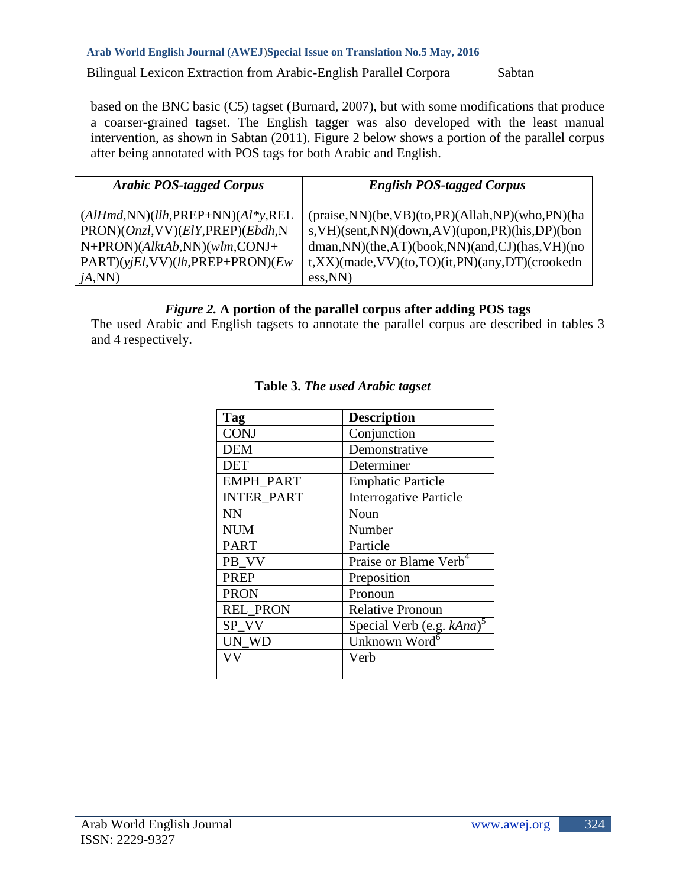based on the BNC basic (C5) tagset (Burnard, 2007), but with some modifications that produce a coarser-grained tagset. The English tagger was also developed with the least manual intervention, as shown in Sabtan (2011). Figure 2 below shows a portion of the parallel corpus after being annotated with POS tags for both Arabic and English.

| <b>Arabic POS-tagged Corpus</b>                   | <b>English POS-tagged Corpus</b>                         |
|---------------------------------------------------|----------------------------------------------------------|
| $(AlHmd,NN)(llh,PREP+NN)(Al*y,REL)$               | $(praise, NN)(be, VB)(to, PR)(Allah, NP)(who, PN)(ha)$   |
| $PRON$ )( $Onzl$ , VV)( $ElY$ , PREP)( $Ebdh$ , N | s, VH)(sent, NN)(down, AV)(upon, PR)(his, DP)(bon        |
| $N+PRON$ )(AlktAb,NN)(wlm,CONJ+                   | $d$ man, NN $)(the, AT)(book, NN)(and, CJ)(has, VH)(no)$ |
| $PART)(yjEl,VV)(lh, PREF+PRON)(Ew)$               | $t, XX$ )(made, VV)(to, TO)(it, PN)(any, DT)(crookedn    |
| jA,NN                                             | $\cos(NN)$                                               |

## *Figure 2.* **A portion of the parallel corpus after adding POS tags**

The used Arabic and English tagsets to annotate the parallel corpus are described in tables 3 and 4 respectively.

| Tag               | <b>Description</b>                    |
|-------------------|---------------------------------------|
| <b>CONJ</b>       | Conjunction                           |
| <b>DEM</b>        | Demonstrative                         |
| <b>DET</b>        | Determiner                            |
| <b>EMPH PART</b>  | <b>Emphatic Particle</b>              |
| <b>INTER PART</b> | <b>Interrogative Particle</b>         |
| <b>NN</b>         | Noun                                  |
| <b>NUM</b>        | Number                                |
| <b>PART</b>       | Particle                              |
| PB VV             | Praise or Blame Verb <sup>4</sup>     |
| <b>PREP</b>       | Preposition                           |
| <b>PRON</b>       | Pronoun                               |
| <b>REL PRON</b>   | <b>Relative Pronoun</b>               |
| SP VV             | Special Verb (e.g. kAna) <sup>5</sup> |
| UN WD             | Unknown Word <sup>6</sup>             |
| VV                | Verb                                  |
|                   |                                       |

# **Table 3.** *The used Arabic tagset*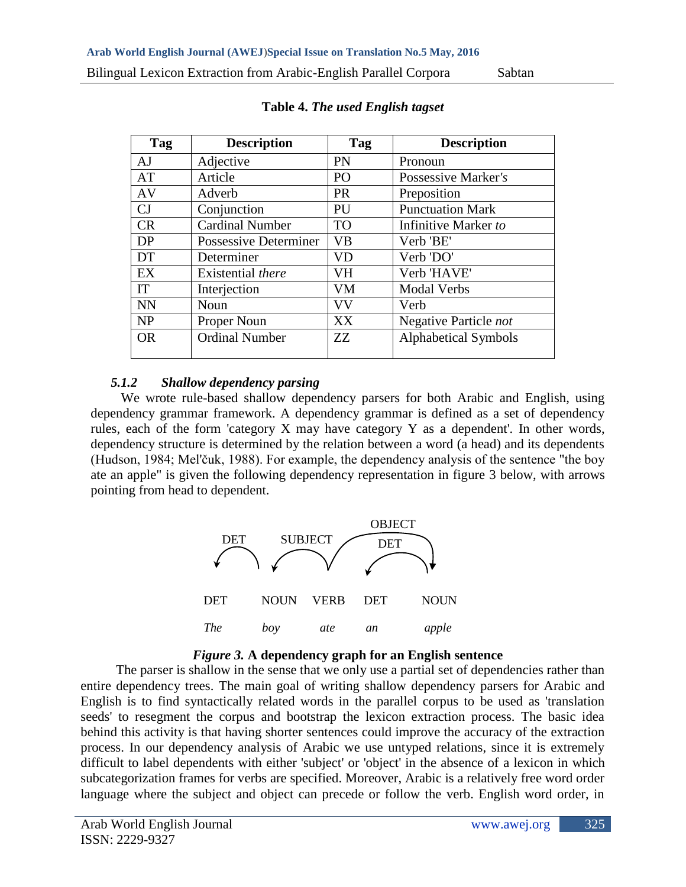| <b>Description</b>     | Tag       | <b>Description</b>          |
|------------------------|-----------|-----------------------------|
| Adjective              | PN        | Pronoun                     |
| Article                | PO        | Possessive Marker's         |
| Adverb                 | <b>PR</b> | Preposition                 |
| Conjunction            | PU        | <b>Punctuation Mark</b>     |
| <b>Cardinal Number</b> | <b>TO</b> | Infinitive Marker to        |
| Possessive Determiner  | VB        | Verb 'BE'                   |
| Determiner             | VD        | Verb 'DO'                   |
| Existential there      | VH        | Verb 'HAVE'                 |
| Interjection           | VM        | <b>Modal Verbs</b>          |
| Noun                   | VV        | Verb                        |
| Proper Noun            | XX        | Negative Particle not       |
| <b>Ordinal Number</b>  | ZZ        | <b>Alphabetical Symbols</b> |
|                        |           |                             |

**Table 4.** *The used English tagset*

# *5.1.2 Shallow dependency parsing*

We wrote rule-based shallow dependency parsers for both Arabic and English, using dependency grammar framework. A dependency grammar is defined as a set of dependency rules, each of the form 'category X may have category Y as a dependent'. In other words, dependency structure is determined by the relation between a word (a head) and its dependents (Hudson, 1984; Mel'čuk, 1988). For example, the dependency analysis of the sentence "the boy ate an apple" is given the following dependency representation in figure 3 below, with arrows pointing from head to dependent.





The parser is shallow in the sense that we only use a partial set of dependencies rather than entire dependency trees. The main goal of writing shallow dependency parsers for Arabic and English is to find syntactically related words in the parallel corpus to be used as 'translation seeds' to resegment the corpus and bootstrap the lexicon extraction process. The basic idea behind this activity is that having shorter sentences could improve the accuracy of the extraction process. In our dependency analysis of Arabic we use untyped relations, since it is extremely difficult to label dependents with either 'subject' or 'object' in the absence of a lexicon in which subcategorization frames for verbs are specified. Moreover, Arabic is a relatively free word order language where the subject and object can precede or follow the verb. English word order, in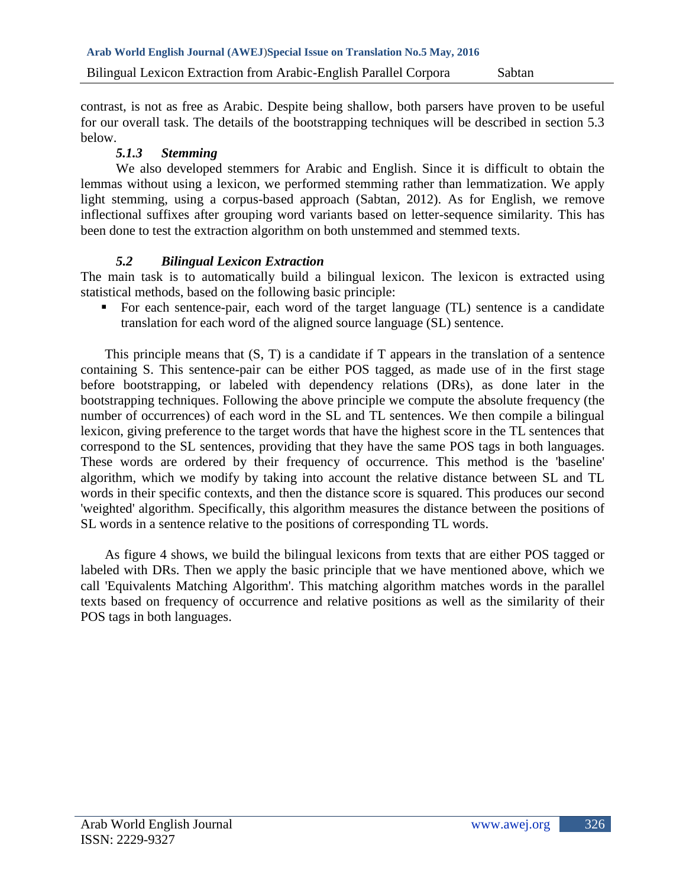contrast, is not as free as Arabic. Despite being shallow, both parsers have proven to be useful for our overall task. The details of the bootstrapping techniques will be described in section 5.3 below.

# *5.1.3 Stemming*

We also developed stemmers for Arabic and English. Since it is difficult to obtain the lemmas without using a lexicon, we performed stemming rather than lemmatization. We apply light stemming, using a corpus-based approach (Sabtan, 2012). As for English, we remove inflectional suffixes after grouping word variants based on letter-sequence similarity. This has been done to test the extraction algorithm on both unstemmed and stemmed texts.

# *5.2 Bilingual Lexicon Extraction*

The main task is to automatically build a bilingual lexicon. The lexicon is extracted using statistical methods, based on the following basic principle:

 For each sentence-pair, each word of the target language (TL) sentence is a candidate translation for each word of the aligned source language (SL) sentence.

This principle means that (S, T) is a candidate if T appears in the translation of a sentence containing S. This sentence-pair can be either POS tagged, as made use of in the first stage before bootstrapping, or labeled with dependency relations (DRs), as done later in the bootstrapping techniques. Following the above principle we compute the absolute frequency (the number of occurrences) of each word in the SL and TL sentences. We then compile a bilingual lexicon, giving preference to the target words that have the highest score in the TL sentences that correspond to the SL sentences, providing that they have the same POS tags in both languages. These words are ordered by their frequency of occurrence. This method is the 'baseline' algorithm, which we modify by taking into account the relative distance between SL and TL words in their specific contexts, and then the distance score is squared. This produces our second 'weighted' algorithm. Specifically, this algorithm measures the distance between the positions of SL words in a sentence relative to the positions of corresponding TL words.

As figure 4 shows, we build the bilingual lexicons from texts that are either POS tagged or labeled with DRs. Then we apply the basic principle that we have mentioned above, which we call 'Equivalents Matching Algorithm'. This matching algorithm matches words in the parallel texts based on frequency of occurrence and relative positions as well as the similarity of their POS tags in both languages.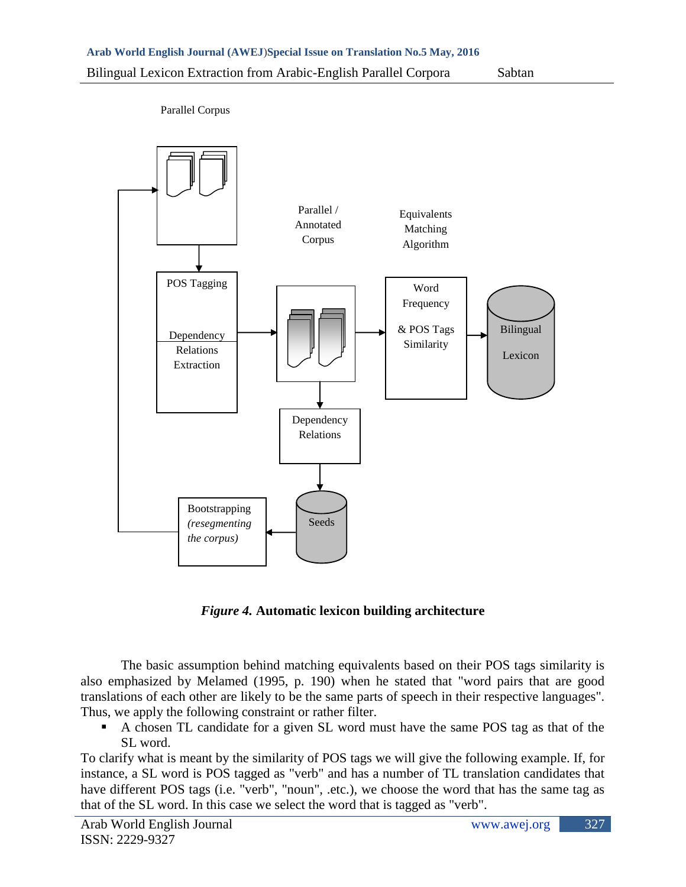

Parallel Corpus

*Figure 4.* **Automatic lexicon building architecture**

The basic assumption behind matching equivalents based on their POS tags similarity is also emphasized by Melamed (1995, p. 190) when he stated that "word pairs that are good translations of each other are likely to be the same parts of speech in their respective languages". Thus, we apply the following constraint or rather filter.

 A chosen TL candidate for a given SL word must have the same POS tag as that of the SL word.

To clarify what is meant by the similarity of POS tags we will give the following example. If, for instance, a SL word is POS tagged as "verb" and has a number of TL translation candidates that have different POS tags (i.e. "verb", "noun", .etc.), we choose the word that has the same tag as that of the SL word. In this case we select the word that is tagged as "verb".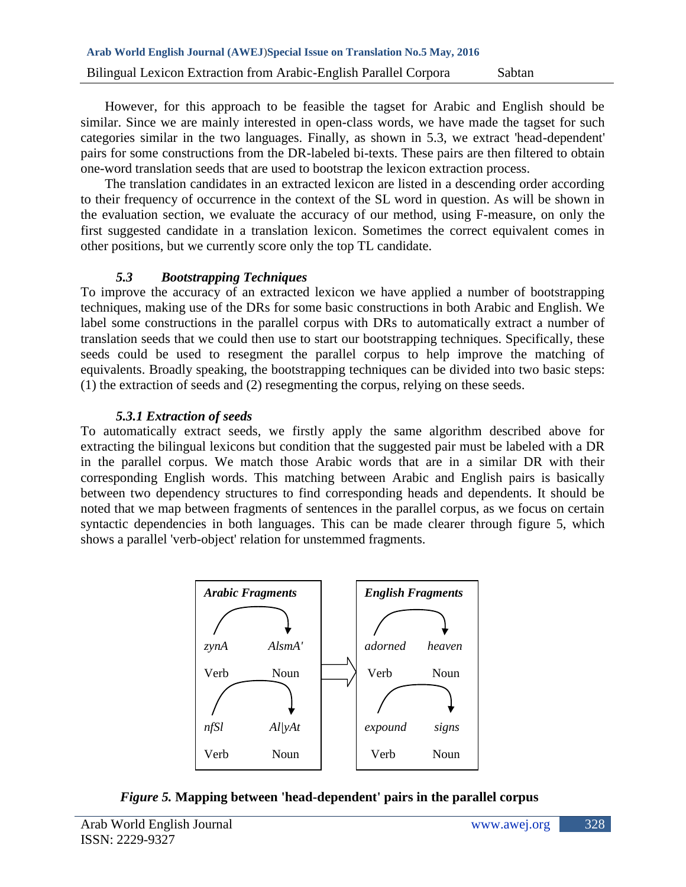However, for this approach to be feasible the tagset for Arabic and English should be similar. Since we are mainly interested in open-class words, we have made the tagset for such categories similar in the two languages. Finally, as shown in 5.3, we extract 'head-dependent' pairs for some constructions from the DR-labeled bi-texts. These pairs are then filtered to obtain one-word translation seeds that are used to bootstrap the lexicon extraction process.

The translation candidates in an extracted lexicon are listed in a descending order according to their frequency of occurrence in the context of the SL word in question. As will be shown in the evaluation section, we evaluate the accuracy of our method, using F-measure, on only the first suggested candidate in a translation lexicon. Sometimes the correct equivalent comes in other positions, but we currently score only the top TL candidate.

## *5.3 Bootstrapping Techniques*

To improve the accuracy of an extracted lexicon we have applied a number of bootstrapping techniques, making use of the DRs for some basic constructions in both Arabic and English. We label some constructions in the parallel corpus with DRs to automatically extract a number of translation seeds that we could then use to start our bootstrapping techniques. Specifically, these seeds could be used to resegment the parallel corpus to help improve the matching of equivalents. Broadly speaking, the bootstrapping techniques can be divided into two basic steps: (1) the extraction of seeds and (2) resegmenting the corpus, relying on these seeds.

# *5.3.1 Extraction of seeds*

To automatically extract seeds, we firstly apply the same algorithm described above for extracting the bilingual lexicons but condition that the suggested pair must be labeled with a DR in the parallel corpus. We match those Arabic words that are in a similar DR with their corresponding English words. This matching between Arabic and English pairs is basically between two dependency structures to find corresponding heads and dependents. It should be noted that we map between fragments of sentences in the parallel corpus, as we focus on certain syntactic dependencies in both languages. This can be made clearer through figure 5, which shows a parallel 'verb-object' relation for unstemmed fragments.



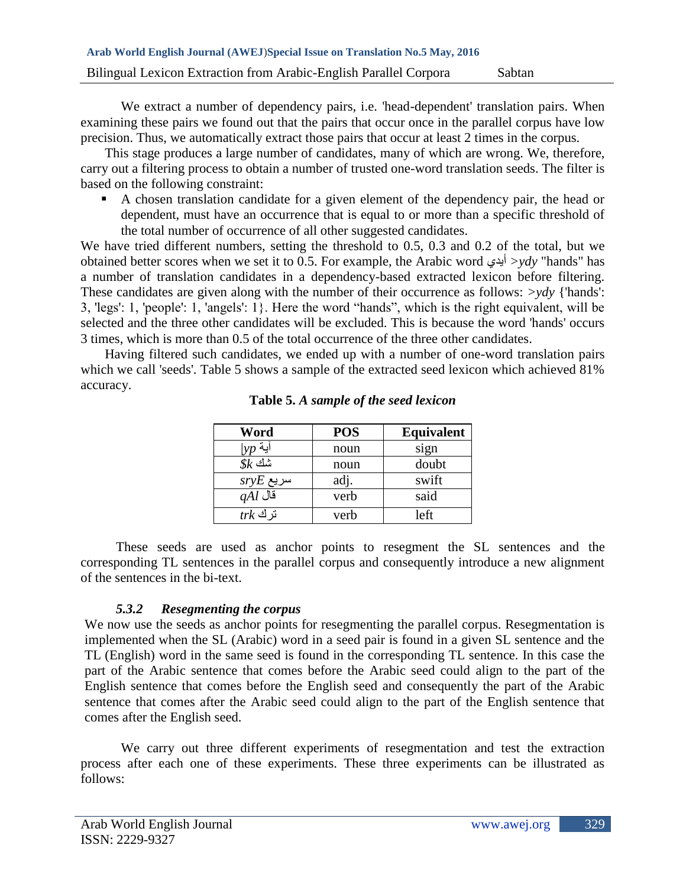We extract a number of dependency pairs, i.e. 'head-dependent' translation pairs. When examining these pairs we found out that the pairs that occur once in the parallel corpus have low precision. Thus, we automatically extract those pairs that occur at least 2 times in the corpus.

This stage produces a large number of candidates, many of which are wrong. We, therefore, carry out a filtering process to obtain a number of trusted one-word translation seeds. The filter is based on the following constraint:

 A chosen translation candidate for a given element of the dependency pair, the head or dependent, must have an occurrence that is equal to or more than a specific threshold of the total number of occurrence of all other suggested candidates.

We have tried different numbers, setting the threshold to 0.5, 0.3 and 0.2 of the total, but we obtained better scores when we set it to 0.5. For example, the Arabic word أيدي*< ydy* "hands" has a number of translation candidates in a dependency-based extracted lexicon before filtering. These candidates are given along with the number of their occurrence as follows: *>ydy* {'hands': 3, 'legs': 1, 'people': 1, 'angels': 1}. Here the word "hands", which is the right equivalent, will be selected and the three other candidates will be excluded. This is because the word 'hands' occurs 3 times, which is more than 0.5 of the total occurrence of the three other candidates.

Having filtered such candidates, we ended up with a number of one-word translation pairs which we call 'seeds'. Table 5 shows a sample of the extracted seed lexicon which achieved 81% accuracy.

| Word        | <b>POS</b> | Equivalent |
|-------------|------------|------------|
|             | noun       | sign       |
| $%$ شك      | noun       | doubt      |
| $sryE$ سریع | adj.       | swift      |
| $qAl$ قال   | verb       | said       |
| $trk$ نَر ك | verb       | left       |

**Table 5.** *A sample of the seed lexicon*

These seeds are used as anchor points to resegment the SL sentences and the corresponding TL sentences in the parallel corpus and consequently introduce a new alignment of the sentences in the bi-text.

## *5.3.2 Resegmenting the corpus*

We now use the seeds as anchor points for resegmenting the parallel corpus. Resegmentation is implemented when the SL (Arabic) word in a seed pair is found in a given SL sentence and the TL (English) word in the same seed is found in the corresponding TL sentence. In this case the part of the Arabic sentence that comes before the Arabic seed could align to the part of the English sentence that comes before the English seed and consequently the part of the Arabic sentence that comes after the Arabic seed could align to the part of the English sentence that comes after the English seed.

We carry out three different experiments of resegmentation and test the extraction process after each one of these experiments. These three experiments can be illustrated as follows: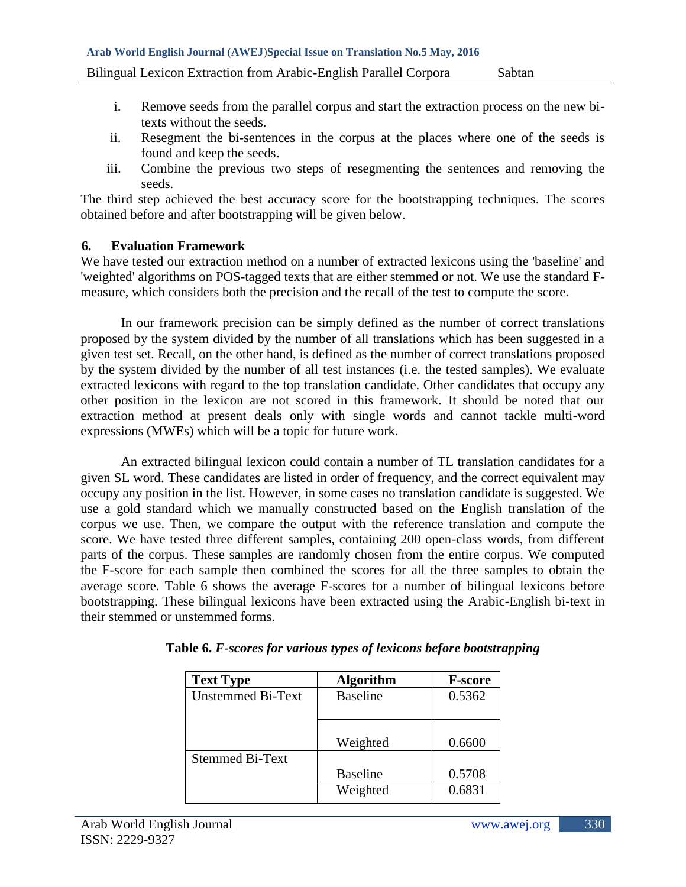**Arab World English Journal (AWEJ**)**Special Issue on Translation No.5 May, 2016**

Bilingual Lexicon Extraction from Arabic-English Parallel Corpora Sabtan

- i. Remove seeds from the parallel corpus and start the extraction process on the new bitexts without the seeds.
- ii. Resegment the bi-sentences in the corpus at the places where one of the seeds is found and keep the seeds.
- iii. Combine the previous two steps of resegmenting the sentences and removing the seeds.

The third step achieved the best accuracy score for the bootstrapping techniques. The scores obtained before and after bootstrapping will be given below.

### **6. Evaluation Framework**

We have tested our extraction method on a number of extracted lexicons using the 'baseline' and 'weighted' algorithms on POS-tagged texts that are either stemmed or not. We use the standard Fmeasure, which considers both the precision and the recall of the test to compute the score.

In our framework precision can be simply defined as the number of correct translations proposed by the system divided by the number of all translations which has been suggested in a given test set. Recall, on the other hand, is defined as the number of correct translations proposed by the system divided by the number of all test instances (i.e. the tested samples). We evaluate extracted lexicons with regard to the top translation candidate. Other candidates that occupy any other position in the lexicon are not scored in this framework. It should be noted that our extraction method at present deals only with single words and cannot tackle multi-word expressions (MWEs) which will be a topic for future work.

An extracted bilingual lexicon could contain a number of TL translation candidates for a given SL word. These candidates are listed in order of frequency, and the correct equivalent may occupy any position in the list. However, in some cases no translation candidate is suggested. We use a gold standard which we manually constructed based on the English translation of the corpus we use. Then, we compare the output with the reference translation and compute the score. We have tested three different samples, containing 200 open-class words, from different parts of the corpus. These samples are randomly chosen from the entire corpus. We computed the F-score for each sample then combined the scores for all the three samples to obtain the average score. Table 6 shows the average F-scores for a number of bilingual lexicons before bootstrapping. These bilingual lexicons have been extracted using the Arabic-English bi-text in their stemmed or unstemmed forms.

| <b>Text Type</b>         | <b>Algorithm</b> | <b>F-score</b> |
|--------------------------|------------------|----------------|
| <b>Unstemmed Bi-Text</b> | <b>Baseline</b>  | 0.5362         |
|                          |                  |                |
|                          |                  |                |
|                          | Weighted         | 0.6600         |
| <b>Stemmed Bi-Text</b>   |                  |                |
|                          | <b>Baseline</b>  | 0.5708         |
|                          | Weighted         | 0.6831         |
|                          |                  |                |

|  |  |  |  | Table 6. F-scores for various types of lexicons before bootstrapping |  |
|--|--|--|--|----------------------------------------------------------------------|--|
|  |  |  |  |                                                                      |  |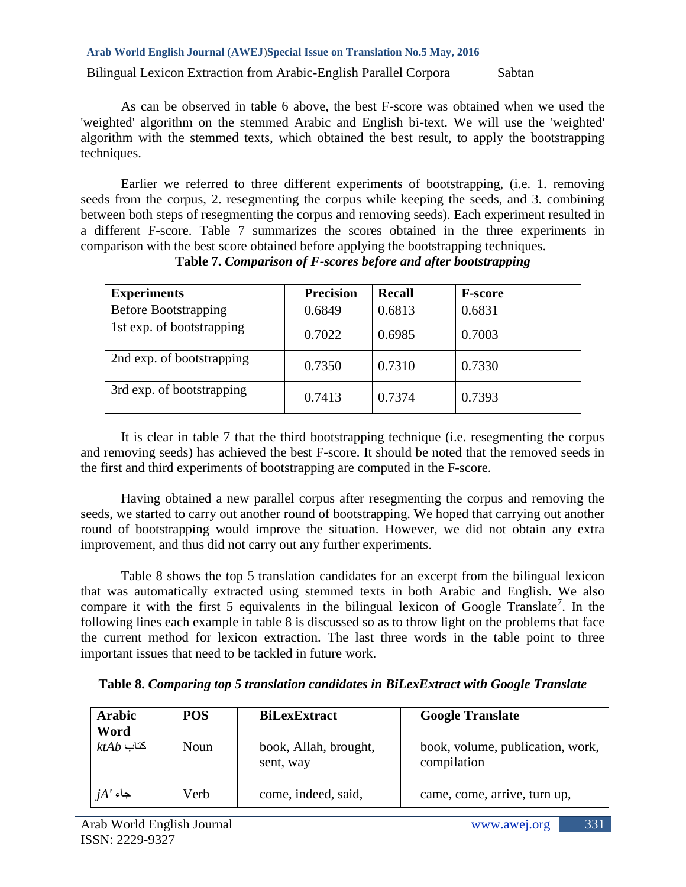As can be observed in table 6 above, the best F-score was obtained when we used the 'weighted' algorithm on the stemmed Arabic and English bi-text. We will use the 'weighted' algorithm with the stemmed texts, which obtained the best result, to apply the bootstrapping techniques.

Earlier we referred to three different experiments of bootstrapping, (i.e. 1. removing seeds from the corpus, 2. resegmenting the corpus while keeping the seeds, and 3. combining between both steps of resegmenting the corpus and removing seeds). Each experiment resulted in a different F-score. Table 7 summarizes the scores obtained in the three experiments in comparison with the best score obtained before applying the bootstrapping techniques.

| <b>Experiments</b>          | <b>Precision</b> | <b>Recall</b> | <b>F-score</b> |
|-----------------------------|------------------|---------------|----------------|
| <b>Before Bootstrapping</b> | 0.6849           | 0.6813        | 0.6831         |
| 1st exp. of bootstrapping   | 0.7022           | 0.6985        | 0.7003         |
| 2nd exp. of bootstrapping   | 0.7350           | 0.7310        | 0.7330         |
| 3rd exp. of bootstrapping   | 0.7413           | 0.7374        | 0.7393         |

# **Table 7.** *Comparison of F-scores before and after bootstrapping*

It is clear in table 7 that the third bootstrapping technique (i.e. resegmenting the corpus and removing seeds) has achieved the best F-score. It should be noted that the removed seeds in the first and third experiments of bootstrapping are computed in the F-score.

Having obtained a new parallel corpus after resegmenting the corpus and removing the seeds, we started to carry out another round of bootstrapping. We hoped that carrying out another round of bootstrapping would improve the situation. However, we did not obtain any extra improvement, and thus did not carry out any further experiments.

Table 8 shows the top 5 translation candidates for an excerpt from the bilingual lexicon that was automatically extracted using stemmed texts in both Arabic and English. We also compare it with the first 5 equivalents in the bilingual lexicon of Google Translate<sup>7</sup>. In the following lines each example in table 8 is discussed so as to throw light on the problems that face the current method for lexicon extraction. The last three words in the table point to three important issues that need to be tackled in future work.

| <b>Arabic</b><br>Word | <b>POS</b>  | <b>BiLexExtract</b>                | <b>Google Translate</b>                         |
|-----------------------|-------------|------------------------------------|-------------------------------------------------|
| $ktAb$ كتاب           | <b>Noun</b> | book, Allah, brought,<br>sent, way | book, volume, publication, work,<br>compilation |
| $jA'$ جاء             | Verb        | come, indeed, said,                | came, come, arrive, turn up,                    |

**Table 8.** *Comparing top 5 translation candidates in BiLexExtract with Google Translate*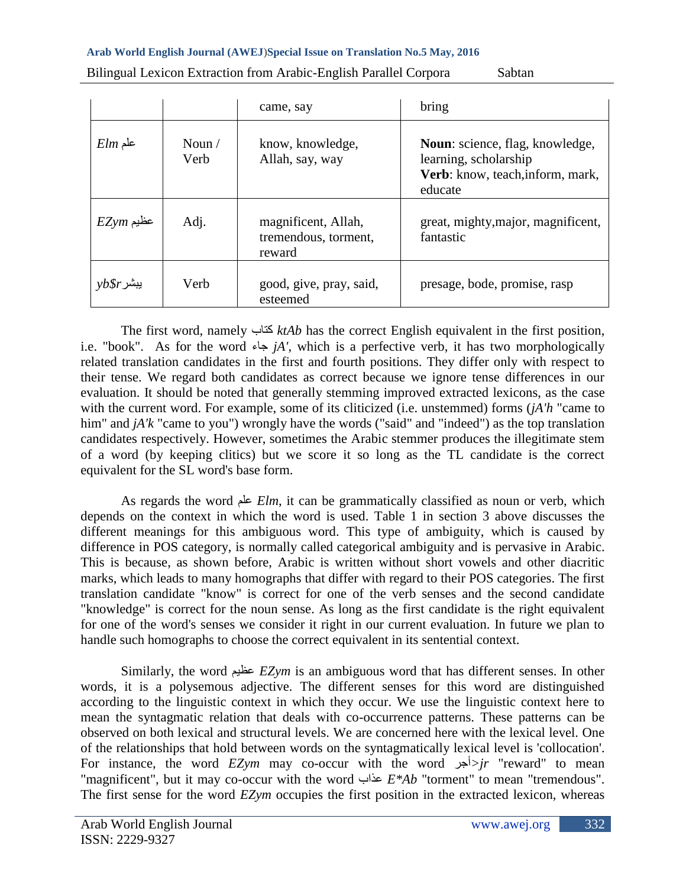|                  |                        | came, say                                             | bring                                                                                                          |
|------------------|------------------------|-------------------------------------------------------|----------------------------------------------------------------------------------------------------------------|
| $Elm$ علم        | Noun $\sqrt{}$<br>Verb | know, knowledge,<br>Allah, say, way                   | <b>Noun:</b> science, flag, knowledge,<br>learning, scholarship<br>Verb: know, teach, inform, mark,<br>educate |
| $EZ$ با $Z$ عظیم | Adj.                   | magnificent, Allah,<br>tremendous, torment,<br>reward | great, mighty, major, magnificent,<br>fantastic                                                                |
| $y b$ پیشر       | Verb                   | good, give, pray, said,<br>esteemed                   | presage, bode, promise, rasp                                                                                   |

Bilingual Lexicon Extraction from Arabic-English Parallel Corpora Sabtan

The first word, namely كتاب *ktAb* has the correct English equivalent in the first position, i.e. "book". As for the word جاء *jA'*, which is a perfective verb, it has two morphologically related translation candidates in the first and fourth positions. They differ only with respect to their tense. We regard both candidates as correct because we ignore tense differences in our evaluation. It should be noted that generally stemming improved extracted lexicons, as the case with the current word. For example, some of its cliticized (i.e. unstemmed) forms (*jA'h* "came to him" and *jA'k* "came to you") wrongly have the words ("said" and "indeed") as the top translation candidates respectively. However, sometimes the Arabic stemmer produces the illegitimate stem of a word (by keeping clitics) but we score it so long as the TL candidate is the correct equivalent for the SL word's base form.

As regards the word علم *Elm*, it can be grammatically classified as noun or verb, which depends on the context in which the word is used. Table 1 in section 3 above discusses the different meanings for this ambiguous word. This type of ambiguity, which is caused by difference in POS category, is normally called categorical ambiguity and is pervasive in Arabic. This is because, as shown before, Arabic is written without short vowels and other diacritic marks, which leads to many homographs that differ with regard to their POS categories. The first translation candidate "know" is correct for one of the verb senses and the second candidate "knowledge" is correct for the noun sense. As long as the first candidate is the right equivalent for one of the word's senses we consider it right in our current evaluation. In future we plan to handle such homographs to choose the correct equivalent in its sentential context.

Similarly, the word عظيم *EZym* is an ambiguous word that has different senses. In other words, it is a polysemous adjective. The different senses for this word are distinguished according to the linguistic context in which they occur. We use the linguistic context here to mean the syntagmatic relation that deals with co-occurrence patterns. These patterns can be observed on both lexical and structural levels. We are concerned here with the lexical level. One of the relationships that hold between words on the syntagmatically lexical level is 'collocation'. For instance, the word *EZym* may co-occur with the word أجر*<jr* "reward" to mean "magnificent", but it may co-occur with the word عذاب *E\*Ab* "torment" to mean "tremendous". The first sense for the word *EZym* occupies the first position in the extracted lexicon, whereas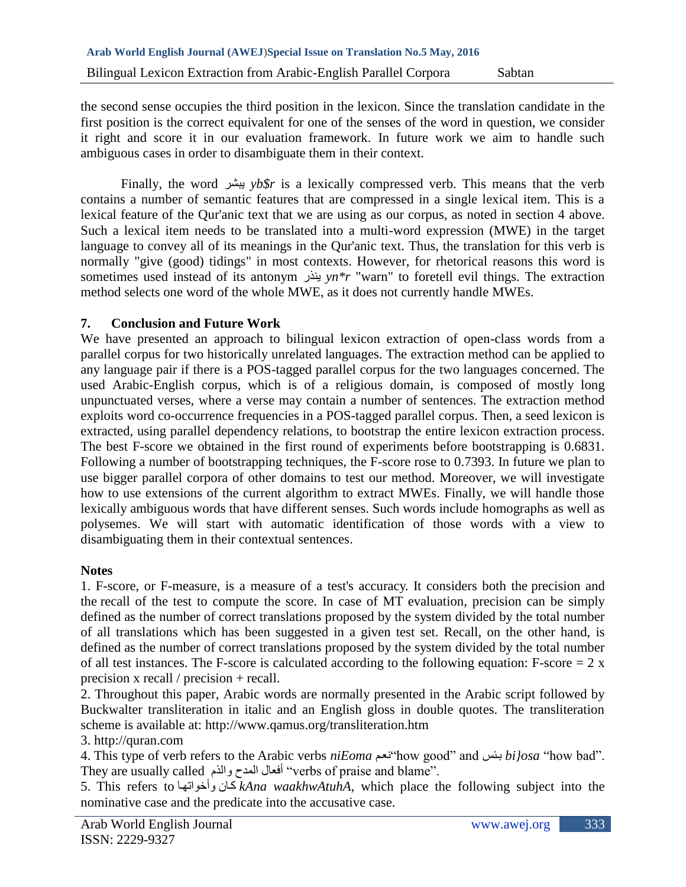the second sense occupies the third position in the lexicon. Since the translation candidate in the first position is the correct equivalent for one of the senses of the word in question, we consider it right and score it in our evaluation framework. In future work we aim to handle such ambiguous cases in order to disambiguate them in their context.

Finally, the word يبشر *yb\$r* is a lexically compressed verb. This means that the verb contains a number of semantic features that are compressed in a single lexical item. This is a lexical feature of the Qur'anic text that we are using as our corpus, as noted in section 4 above. Such a lexical item needs to be translated into a multi-word expression (MWE) in the target language to convey all of its meanings in the Qur'anic text. Thus, the translation for this verb is normally "give (good) tidings" in most contexts. However, for rhetorical reasons this word is sometimes used instead of its antonym ينذر *yn\*r* "warn" to foretell evil things. The extraction method selects one word of the whole MWE, as it does not currently handle MWEs.

### **7. Conclusion and Future Work**

We have presented an approach to bilingual lexicon extraction of open-class words from a parallel corpus for two historically unrelated languages. The extraction method can be applied to any language pair if there is a POS-tagged parallel corpus for the two languages concerned. The used Arabic-English corpus, which is of a religious domain, is composed of mostly long unpunctuated verses, where a verse may contain a number of sentences. The extraction method exploits word co-occurrence frequencies in a POS-tagged parallel corpus. Then, a seed lexicon is extracted, using parallel dependency relations, to bootstrap the entire lexicon extraction process. The best F-score we obtained in the first round of experiments before bootstrapping is 0.6831. Following a number of bootstrapping techniques, the F-score rose to 0.7393. In future we plan to use bigger parallel corpora of other domains to test our method. Moreover, we will investigate how to use extensions of the current algorithm to extract MWEs. Finally, we will handle those lexically ambiguous words that have different senses. Such words include homographs as well as polysemes. We will start with automatic identification of those words with a view to disambiguating them in their contextual sentences.

### **Notes**

1. F-score, or F-measure, is a measure of a test's accuracy. It considers both the [precision](http://en.wikipedia.org/wiki/Precision_(information_retrieval)) and the [recall](http://en.wikipedia.org/wiki/Recall_(information_retrieval)) of the test to compute the score. In case of MT evaluation, precision can be simply defined as the number of correct translations proposed by the system divided by the total number of all translations which has been suggested in a given test set. Recall, on the other hand, is defined as the number of correct translations proposed by the system divided by the total number of all test instances. The F-score is calculated according to the following equation: F-score  $= 2 x$ precision x recall / precision + recall.

2. Throughout this paper, Arabic words are normally presented in the Arabic script followed by Buckwalter transliteration in italic and an English gloss in double quotes. The transliteration scheme is available at: http://www.qamus.org/transliteration.htm

## 3. http://quran.com

4. This type of verb refers to the Arabic verbs *niEoma* نعمم"how good" and بمس *bi}osa* "how bad". They are usually called <sub>e</sub>iléal<sup>o</sup> أفعال المدح والذم They are usually called "

5. This refers to كمان وأخواتها  $kA$ na waakhwAtuhA, which place the following subject into the nominative case and the predicate into the accusative case.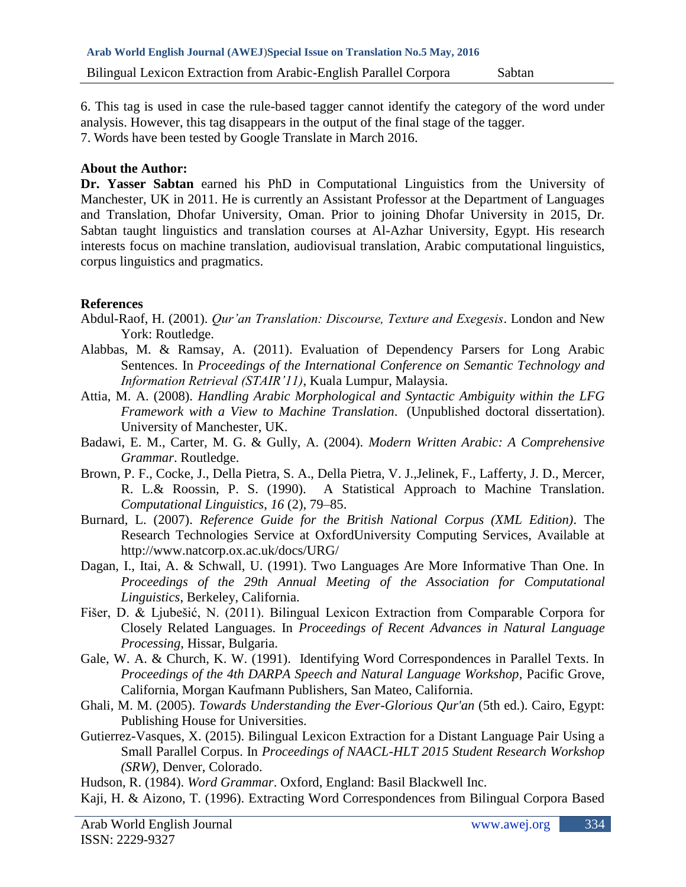6. This tag is used in case the rule-based tagger cannot identify the category of the word under analysis. However, this tag disappears in the output of the final stage of the tagger. 7. Words have been tested by Google Translate in March 2016.

### **About the Author:**

**Dr. Yasser Sabtan** earned his PhD in Computational Linguistics from the University of Manchester, UK in 2011. He is currently an Assistant Professor at the Department of Languages and Translation, Dhofar University, Oman. Prior to joining Dhofar University in 2015, Dr. Sabtan taught linguistics and translation courses at Al-Azhar University, Egypt. His research interests focus on machine translation, audiovisual translation, Arabic computational linguistics, corpus linguistics and pragmatics.

## **References**

- Abdul-Raof, H. (2001). *Qur'an Translation: Discourse, Texture and Exegesis*. London and New York: Routledge.
- Alabbas, M. & Ramsay, A. (2011). Evaluation of Dependency Parsers for Long Arabic Sentences. In *Proceedings of the International Conference on Semantic Technology and Information Retrieval (STAIR'11)*, Kuala Lumpur, Malaysia.
- Attia, M. A. (2008). *Handling Arabic Morphological and Syntactic Ambiguity within the LFG Framework with a View to Machine Translation*. (Unpublished doctoral dissertation). University of Manchester, UK.
- Badawi, E. M., Carter, M. G. & Gully, A. (2004). *Modern Written Arabic: A Comprehensive Grammar*. Routledge.
- Brown, P. F., Cocke, J., Della Pietra, S. A., Della Pietra, V. J.,Jelinek, F., Lafferty, J. D., Mercer, R. L.& Roossin, P. S. (1990). A Statistical Approach to Machine Translation. *Computational Linguistics*, *16* (2), 79–85.
- Burnard, L. (2007). *Reference Guide for the British National Corpus (XML Edition)*. The Research Technologies Service at OxfordUniversity Computing Services, Available at <http://www.natcorp.ox.ac.uk/docs/URG/>
- Dagan, I., Itai, A. & Schwall, U. (1991). Two Languages Are More Informative Than One. In *Proceedings of the 29th Annual Meeting of the Association for Computational Linguistics*, Berkeley, California.
- Fišer, D. & Ljubešić, N. (2011). Bilingual Lexicon Extraction from Comparable Corpora for Closely Related Languages. In *Proceedings of Recent Advances in Natural Language Processing*, Hissar, Bulgaria.
- Gale, W. A. & Church, K. W. (1991). Identifying Word Correspondences in Parallel Texts. In *Proceedings of the 4th DARPA Speech and Natural Language Workshop*, Pacific Grove, California, Morgan Kaufmann Publishers, San Mateo, California.
- Ghali, M. M. (2005). *Towards Understanding the Ever-Glorious Qur'an* (5th ed.). Cairo, Egypt: Publishing House for Universities.
- Gutierrez-Vasques, X. (2015). Bilingual Lexicon Extraction for a Distant Language Pair Using a Small Parallel Corpus. In *Proceedings of NAACL-HLT 2015 Student Research Workshop (SRW)*, Denver, Colorado.

Hudson, R. (1984). *Word Grammar*. Oxford, England: Basil Blackwell Inc.

Kaji, H. & Aizono, T. (1996). Extracting Word Correspondences from Bilingual Corpora Based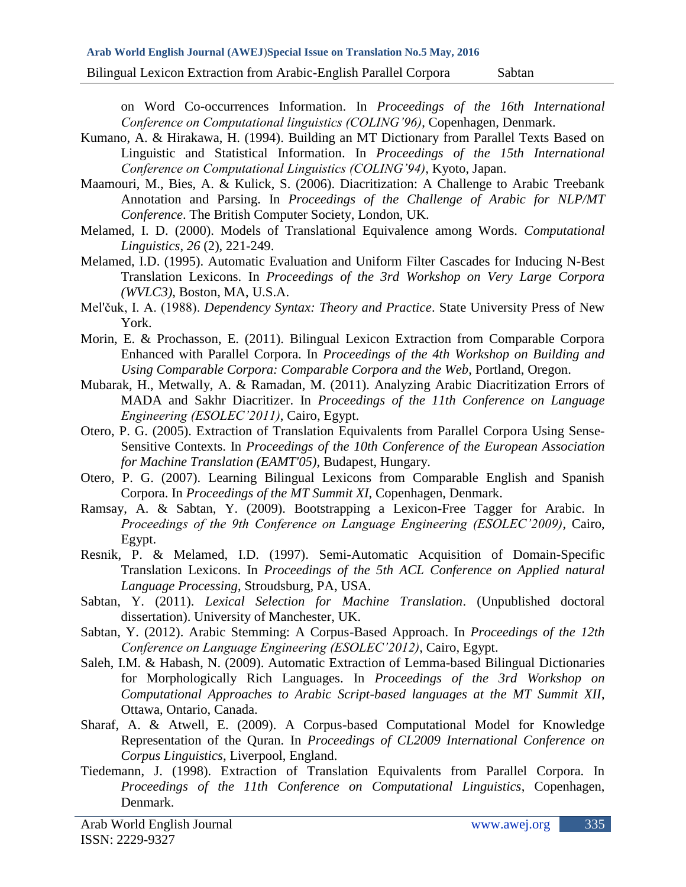Bilingual Lexicon Extraction from Arabic-English Parallel Corpora Sabtan

on Word Co-occurrences Information. In *Proceedings of the 16th International Conference on Computational linguistics (COLING'96)*, Copenhagen, Denmark.

- Kumano, A. & Hirakawa, H. (1994). Building an MT Dictionary from Parallel Texts Based on Linguistic and Statistical Information. In *Proceedings of the 15th International Conference on Computational Linguistics (COLING'94)*, Kyoto, Japan.
- Maamouri, M., Bies, A. & Kulick, S. (2006). Diacritization: A Challenge to Arabic Treebank Annotation and Parsing. In *Proceedings of the Challenge of Arabic for NLP/MT Conference*. The British Computer Society, London, UK.
- Melamed, I. D. (2000). Models of Translational Equivalence among Words. *Computational Linguistics*, *26* (2), 221-249.
- Melamed, I.D. (1995). Automatic Evaluation and Uniform Filter Cascades for Inducing N-Best Translation Lexicons. In *Proceedings of the 3rd Workshop on Very Large Corpora (WVLC3)*, Boston, MA, U.S.A.
- Mel'čuk, I. A. (1988). *Dependency Syntax: Theory and Practice*. State University Press of New York.
- Morin, E. & Prochasson, E. (2011). Bilingual Lexicon Extraction from Comparable Corpora Enhanced with Parallel Corpora. In *Proceedings of the 4th Workshop on Building and Using Comparable Corpora: Comparable Corpora and the Web*, Portland, Oregon.
- Mubarak, H., Metwally, A. & Ramadan, M. (2011). Analyzing Arabic Diacritization Errors of MADA and Sakhr Diacritizer. In *Proceedings of the 11th Conference on Language Engineering (ESOLEC'2011)*, Cairo, Egypt.
- Otero, P. G. (2005). Extraction of Translation Equivalents from Parallel Corpora Using Sense-Sensitive Contexts. In *Proceedings of the 10th Conference of the European Association for Machine Translation (EAMT'05)*, Budapest, Hungary.
- Otero, P. G. (2007). Learning Bilingual Lexicons from Comparable English and Spanish Corpora. In *Proceedings of the MT Summit XI*, Copenhagen, Denmark.
- Ramsay, A. & Sabtan, Y. (2009). Bootstrapping a Lexicon-Free Tagger for Arabic. In *Proceedings of the 9th Conference on Language Engineering (ESOLEC'2009)*, Cairo, Egypt.
- Resnik, P. & Melamed, I.D. (1997). Semi-Automatic Acquisition of Domain-Specific Translation Lexicons. In *Proceedings of the 5th ACL Conference on Applied natural Language Processing*, Stroudsburg, PA, USA.
- Sabtan, Y. (2011). *Lexical Selection for Machine Translation*. (Unpublished doctoral dissertation). University of Manchester, UK.
- Sabtan, Y. (2012). Arabic Stemming: A Corpus-Based Approach. In *Proceedings of the 12th Conference on Language Engineering (ESOLEC'2012)*, Cairo, Egypt.
- Saleh, I.M. & Habash, N. (2009). Automatic Extraction of Lemma-based Bilingual Dictionaries for Morphologically Rich Languages. In *Proceedings of the 3rd Workshop on Computational Approaches to Arabic Script-based languages at the MT Summit XII*, Ottawa, Ontario, Canada.
- Sharaf, A. & Atwell, E. (2009). A Corpus-based Computational Model for Knowledge Representation of the Quran. In *Proceedings of CL2009 International Conference on Corpus Linguistics*, Liverpool, England.
- Tiedemann, J. (1998). Extraction of Translation Equivalents from Parallel Corpora. In *Proceedings of the 11th Conference on Computational Linguistics*, Copenhagen, Denmark.